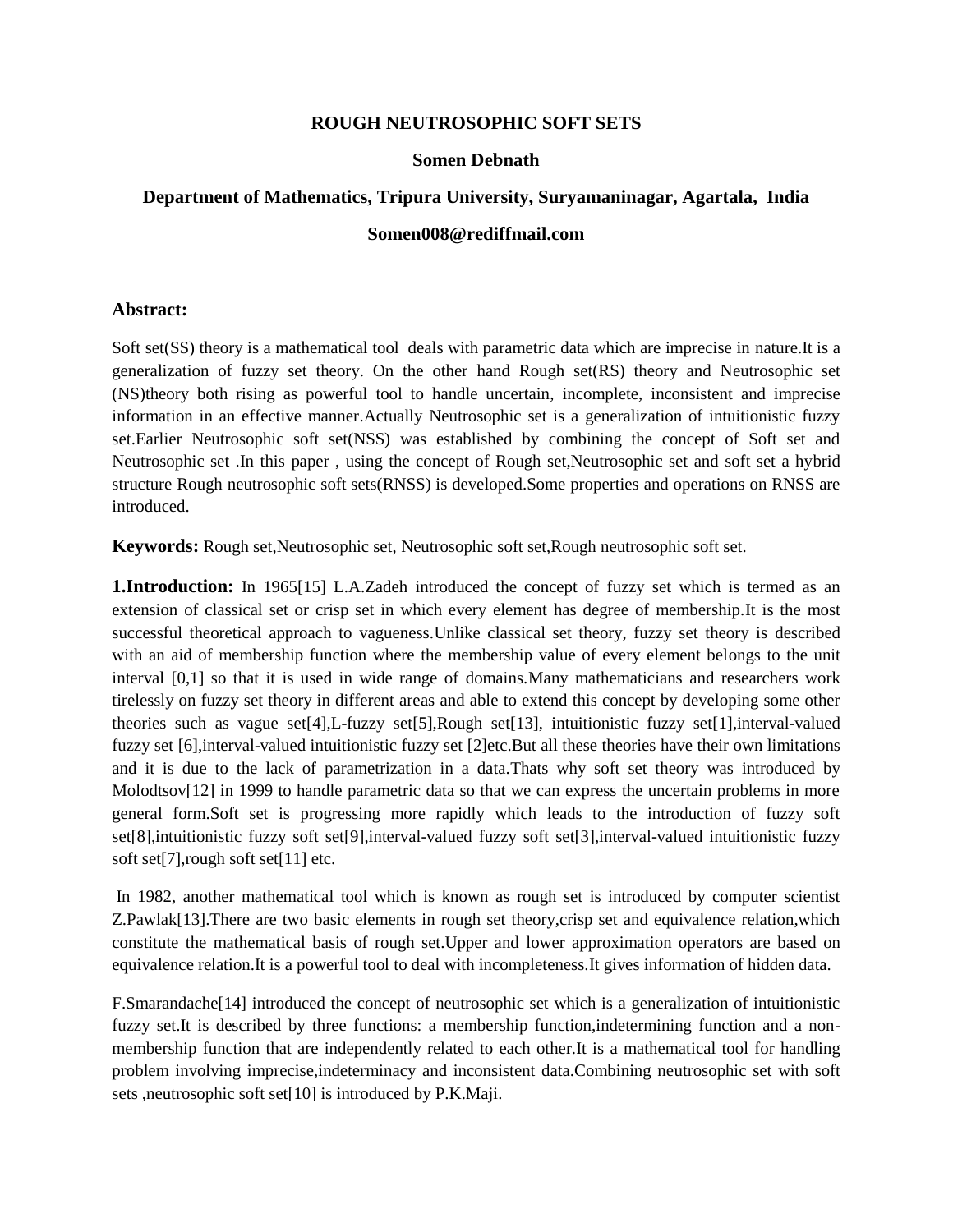## **ROUGH NEUTROSOPHIC SOFT SETS**

## **Somen Debnath**

# **Department of Mathematics, Tripura University, Suryamaninagar, Agartala, India Somen008@rediffmail.com**

#### **Abstract:**

Soft set(SS) theory is a mathematical tool deals with parametric data which are imprecise in nature.It is a generalization of fuzzy set theory. On the other hand Rough set(RS) theory and Neutrosophic set (NS)theory both rising as powerful tool to handle uncertain, incomplete, inconsistent and imprecise information in an effective manner.Actually Neutrosophic set is a generalization of intuitionistic fuzzy set.Earlier Neutrosophic soft set(NSS) was established by combining the concept of Soft set and Neutrosophic set .In this paper , using the concept of Rough set,Neutrosophic set and soft set a hybrid structure Rough neutrosophic soft sets(RNSS) is developed.Some properties and operations on RNSS are introduced.

**Keywords:** Rough set,Neutrosophic set, Neutrosophic soft set,Rough neutrosophic soft set.

**1.Introduction:** In 1965[15] L.A.Zadeh introduced the concept of fuzzy set which is termed as an extension of classical set or crisp set in which every element has degree of membership.It is the most successful theoretical approach to vagueness.Unlike classical set theory, fuzzy set theory is described with an aid of membership function where the membership value of every element belongs to the unit interval [0,1] so that it is used in wide range of domains.Many mathematicians and researchers work tirelessly on fuzzy set theory in different areas and able to extend this concept by developing some other theories such as vague set[4],L-fuzzy set[5],Rough set[13], intuitionistic fuzzy set[1],interval-valued fuzzy set [6],interval-valued intuitionistic fuzzy set [2]etc.But all these theories have their own limitations and it is due to the lack of parametrization in a data.Thats why soft set theory was introduced by Molodtsov[12] in 1999 to handle parametric data so that we can express the uncertain problems in more general form.Soft set is progressing more rapidly which leads to the introduction of fuzzy soft set[8],intuitionistic fuzzy soft set[9],interval-valued fuzzy soft set[3],interval-valued intuitionistic fuzzy soft set[7],rough soft set[11] etc.

In 1982, another mathematical tool which is known as rough set is introduced by computer scientist Z.Pawlak[13].There are two basic elements in rough set theory,crisp set and equivalence relation,which constitute the mathematical basis of rough set.Upper and lower approximation operators are based on equivalence relation.It is a powerful tool to deal with incompleteness.It gives information of hidden data.

F.Smarandache[14] introduced the concept of neutrosophic set which is a generalization of intuitionistic fuzzy set.It is described by three functions: a membership function,indetermining function and a nonmembership function that are independently related to each other.It is a mathematical tool for handling problem involving imprecise,indeterminacy and inconsistent data.Combining neutrosophic set with soft sets ,neutrosophic soft set[10] is introduced by P.K.Maji.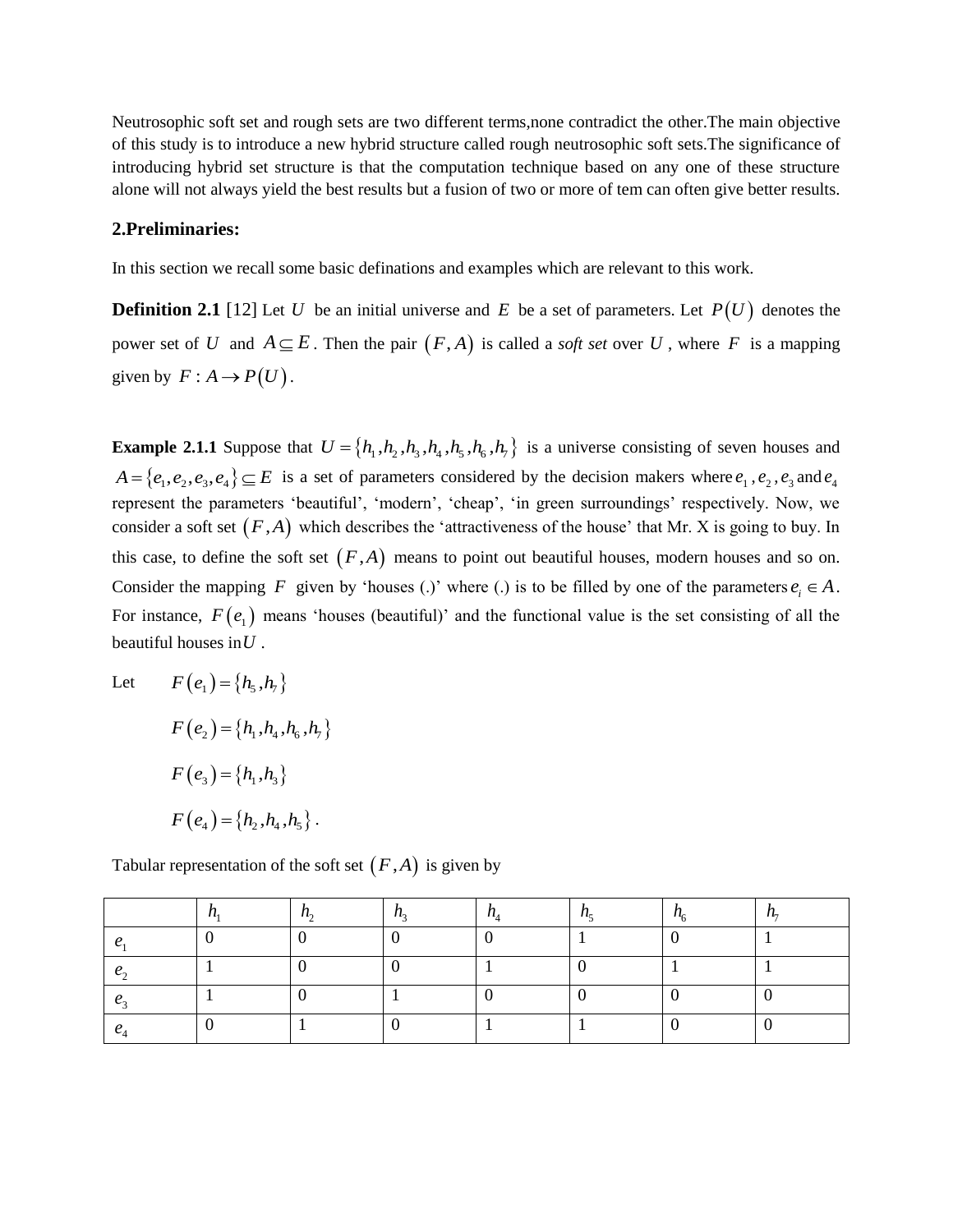Neutrosophic soft set and rough sets are two different terms,none contradict the other.The main objective of this study is to introduce a new hybrid structure called rough neutrosophic soft sets.The significance of introducing hybrid set structure is that the computation technique based on any one of these structure alone will not always yield the best results but a fusion of two or more of tem can often give better results.

#### **2.Preliminaries:**

In this section we recall some basic definations and examples which are relevant to this work.

**Definition 2.1** [12] Let U be an initial universe and E be a set of parameters. Let  $P(U)$  denotes the power set of U and  $A \subseteq E$ . Then the pair  $(F, A)$  is called a *soft set* over U, where F is a mapping given by  $F: A \to P(U)$ .

**Example 2.1.1** Suppose that  $U = \{h_1, h_2, h_3, h_4, h_5, h_6, h_7\}$  is a universe consisting of seven houses and  $A = \{e_1, e_2, e_3, e_4\} \subseteq E$  is a set of parameters considered by the decision makers where  $e_1, e_2, e_3$  and  $e_4$ represent the parameters 'beautiful', 'modern', 'cheap', 'in green surroundings' respectively. Now, we consider a soft set  $(F, A)$  which describes the 'attractiveness of the house' that Mr. X is going to buy. In this case, to define the soft set  $(F,A)$  means to point out beautiful houses, modern houses and so on. Consider the mapping F given by 'houses (.)' where (.) is to be filled by one of the parameters  $e_i \in A$ . For instance,  $F(e_1)$  means 'houses (beautiful)' and the functional value is the set consisting of all the beautiful houses in *U* .

Let 
$$
F(e_1) = \{h_5, h_7\}
$$
  
\n
$$
F(e_2) = \{h_1, h_4, h_6, h_7\}
$$
\n
$$
F(e_3) = \{h_1, h_3\}
$$
\n
$$
F(e_4) = \{h_2, h_4, h_5\}.
$$

Tabular representation of the soft set  $(F,A)$  is given by

|  |  |  | ' " |
|--|--|--|-----|
|  |  |  |     |
|  |  |  |     |
|  |  |  |     |
|  |  |  |     |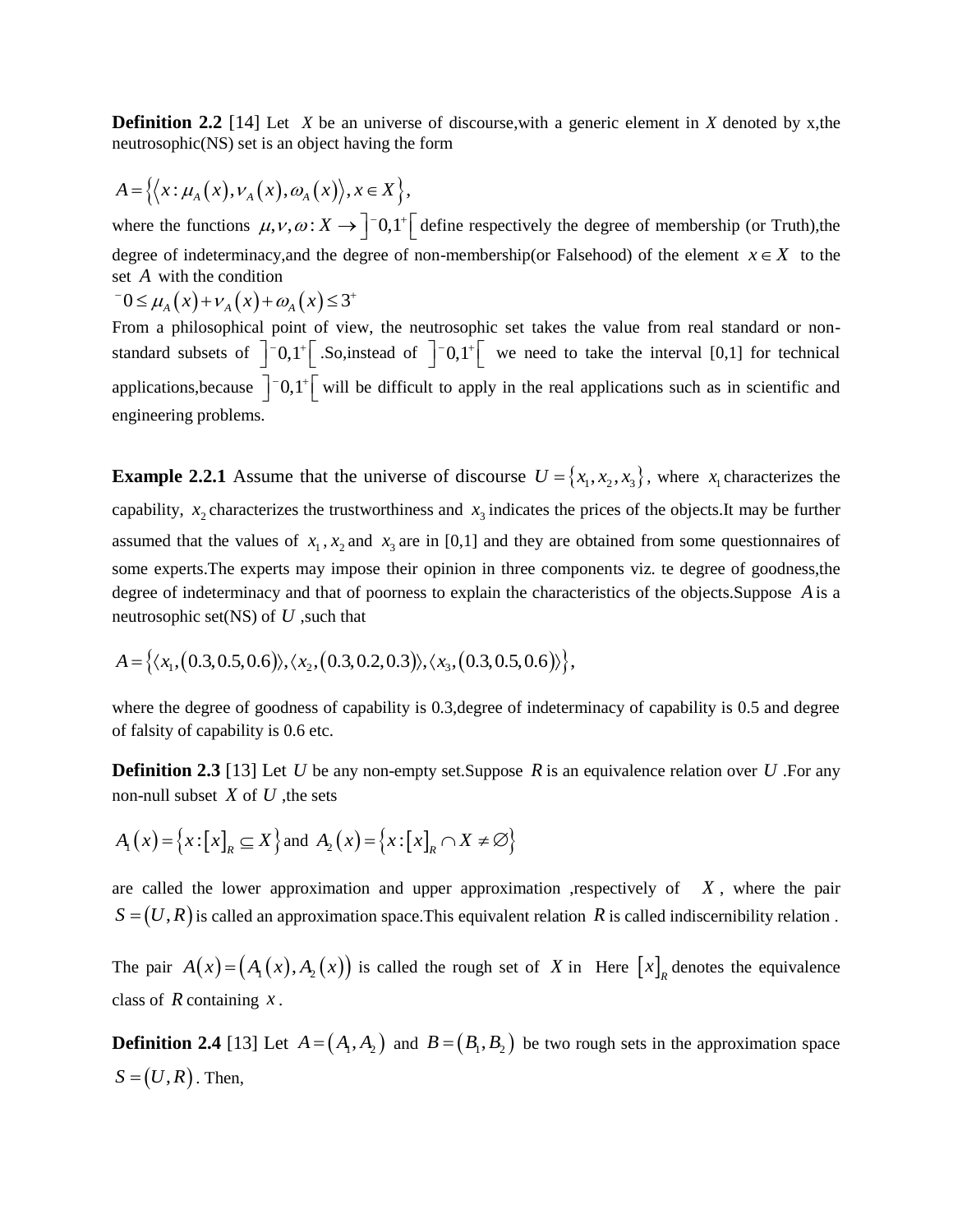**Definition 2.2** [14] Let *X* be an universe of discourse, with a generic element in *X* denoted by x, the neutrosophic(NS) set is an object having the form

$$
A = \{ \langle x : \mu_A(x), \nu_A(x), \omega_A(x) \rangle, x \in X \},\
$$

where the functions  $\mu$ ,  $\nu$ ,  $\omega$  :  $X \to \int_0^{\infty} 0.1^+ \left[$  define respectively the degree of membership (or Truth), the degree of indeterminacy, and the degree of non-membership(or Falsehood) of the element  $x \in X$  to the set *A* with the condition<br>  $-0 \leq \mu_A(x) + \nu_A(x) + \omega_A(x) \leq 3^+$ 

$$
^{-}0 \leq \mu_{A}(x) + \nu_{A}(x) + \omega_{A}(x) \leq 3^{+}
$$

From a philosophical point of view, the neutrosophic set takes the value from real standard or nonstandard subsets of  $\int_0^{\infty} 0.1^{\infty}$ . So, instead of  $\int_0^{\infty} 0.1^{\infty}$  we need to take the interval [0,1] for technical applications, because  $\int$  -0,1<sup>+</sup> will be difficult to apply in the real applications such as in scientific and engineering problems.

**Example 2.2.1** Assume that the universe of discourse  $U = \{x_1, x_2, x_3\}$ , where  $x_1$  characterizes the capability,  $x_2$  characterizes the trustworthiness and  $x_3$  indicates the prices of the objects. It may be further assumed that the values of  $x_1, x_2$  and  $x_3$  are in [0,1] and they are obtained from some questionnaires of some experts.The experts may impose their opinion in three components viz. te degree of goodness,the degree of indeterminacy and that of poorness to explain the characteristics of the objects.Suppose *A* is a neutrosophic set(NS) of *U*, such that<br>  $A = \{ \langle x_1, (0.3, 0.5, 0.6) \rangle, \langle x_2, (0.3, 0.2, 0.3) \rangle, \langle x_3, (0.3, 0.5, 0.6) \rangle \},\$ 

$$
A = \left\{ \langle x_1, (0.3, 0.5, 0.6) \rangle, \langle x_2, (0.3, 0.2, 0.3) \rangle, \langle x_3, (0.3, 0.5, 0.6) \rangle \right\},
$$

where the degree of goodness of capability is 0.3,degree of indeterminacy of capability is 0.5 and degree of falsity of capability is 0.6 etc.

**Definition 2.3** [13] Let U be any non-empty set. Suppose R is an equivalence relation over U. For any non-null subset *X* of *U* ,the sets

$$
A_1(x) = \{x : [x]_R \subseteq X\} \text{ and } A_2(x) = \{x : [x]_R \cap X \neq \emptyset\}
$$

are called the lower approximation and upper approximation , respectively of  $X$ , where the pair  $S = (U, R)$  is called an approximation space. This equivalent relation R is called indiscernibility relation.

The pair  $A(x) = (A_1(x), A_2(x))$  is called the rough set of X in Here  $[x]_R$  denotes the equivalence class of  $R$  containing  $x$ .

**Definition 2.4** [13] Let  $A = (A_1, A_2)$  and  $B = (B_1, B_2)$  be two rough sets in the approximation space  $S = (U, R)$ . Then,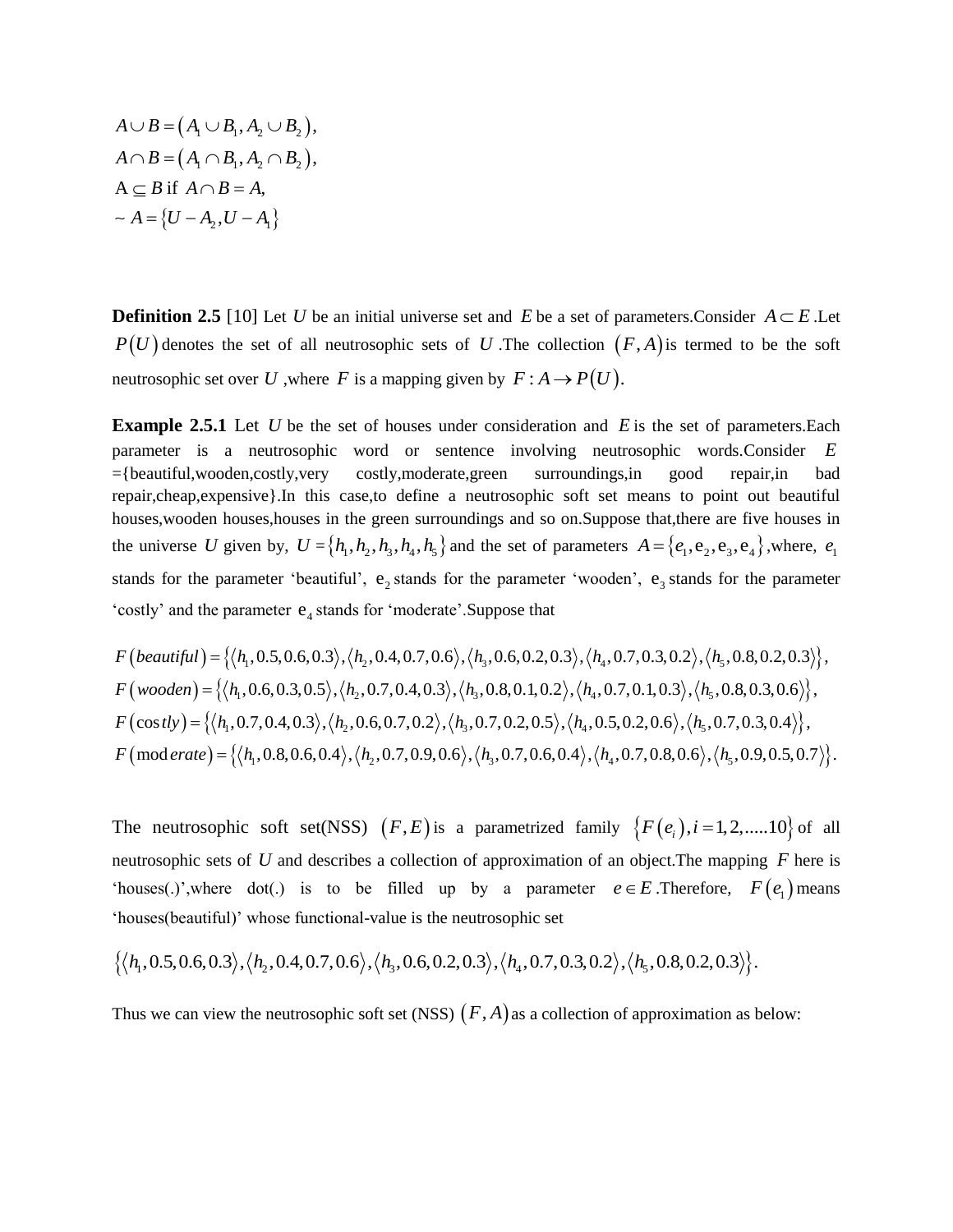$$
A \cup B = (A_1 \cup B_1, A_2 \cup B_2),
$$
  
\n
$$
A \cap B = (A_1 \cap B_1, A_2 \cap B_2),
$$
  
\n
$$
A \subseteq B \text{ if } A \cap B = A,
$$
  
\n
$$
\sim A = \{U - A_2, U - A_1\}
$$

**Definition 2.5** [10] Let U be an initial universe set and E be a set of parameters.Consider  $A \subseteq E$ .Let  $P(U)$  denotes the set of all neutrosophic sets of U. The collection  $(F, A)$  is termed to be the soft neutrosophic set over U ,where F is a mapping given by  $F : A \to P(U)$ .

**Example 2.5.1** Let  $U$  be the set of houses under consideration and  $E$  is the set of parameters. Each parameter is a neutrosophic word or sentence involving neutrosophic words.Consider *E* ={beautiful,wooden,costly,very costly,moderate,green surroundings,in good repair,in bad repair,cheap,expensive}.In this case,to define a neutrosophic soft set means to point out beautiful houses,wooden houses,houses in the green surroundings and so on.Suppose that,there are five houses in the universe U given by,  $U = \{h_1, h_2, h_3, h_4, h_5\}$  and the set of parameters  $A = \{e_1, e_2, e_3, e_4\}$ , where,  $e_1$ stands for the parameter 'beautiful', e<sub>2</sub> stands for the parameter 'wooden', e<sub>3</sub> stands for the parameter<br>
'costly' and the parameter e<sub>4</sub> stands for 'moderate'.Suppose that<br> *F* (beautiful) = { $\langle h_1, 0.5, 0.6, 0.3 \rangle$ ,

$$
\text{``costly'' and the parameter } e_4 \text{ stands for ``moderate''. Suppose that}
$$
\n
$$
F\left(\text{beautiful}\right) = \left\{\langle h_1, 0.5, 0.6, 0.3\rangle, \langle h_2, 0.4, 0.7, 0.6\rangle, \langle h_3, 0.6, 0.2, 0.3\rangle, \langle h_4, 0.7, 0.3, 0.2\rangle, \langle h_5, 0.8, 0.2, 0.3\rangle\right\},
$$
\n
$$
F\left(\text{wooden}\right) = \left\{\langle h_1, 0.6, 0.3, 0.5\rangle, \langle h_2, 0.7, 0.4, 0.3\rangle, \langle h_3, 0.8, 0.1, 0.2\rangle, \langle h_4, 0.7, 0.1, 0.3\rangle, \langle h_5, 0.8, 0.3, 0.6\rangle\right\},
$$
\n
$$
F\left(\cos t\,\big) = \left\{\langle h_1, 0.7, 0.4, 0.3\rangle, \langle h_2, 0.6, 0.7, 0.2\rangle, \langle h_3, 0.7, 0.2, 0.5\rangle, \langle h_4, 0.5, 0.2, 0.6\rangle, \langle h_5, 0.7, 0.3, 0.4\rangle\right\},
$$
\n
$$
F\left(\text{mod} \text{erate}\right) = \left\{\langle h_1, 0.8, 0.6, 0.4\rangle, \langle h_2, 0.7, 0.9, 0.6\rangle, \langle h_3, 0.7, 0.6, 0.4\rangle, \langle h_4, 0.7, 0.8, 0.6\rangle, \langle h_5, 0.9, 0.5, 0.7\rangle\right\}.
$$

The neutrosophic soft set(NSS)  $(F, E)$  is a parametrized family  $\{F(e_i), i = 1, 2, \dots, 10\}$  of all neutrosophic sets of *U* and describes a collection of approximation of an object.The mapping *F* here is 'houses(.)',where dot(.) is to be filled up by a parameter  $e \in E$ .Therefore,  $F(e_1)$  means 'houses(beautiful)' whose functional-value is the neutrosophic set  $\{\langle h_1, 0.5, 0.6, 0.3 \rangle, \langle h_2, 0.4, 0.7, 0.6 \rangle, \langle h_3, 0.6, 0.2$ 'houses(beautiful)' whose functional-value is the neutrosophic set

$$
\{\langle h_1, 0.5, 0.6, 0.3\rangle, \langle h_2, 0.4, 0.7, 0.6\rangle, \langle h_3, 0.6, 0.2, 0.3\rangle, \langle h_4, 0.7, 0.3, 0.2\rangle, \langle h_5, 0.8, 0.2, 0.3\rangle\}.
$$

Thus we can view the neutrosophic soft set (NSS)  $(F, A)$  as a collection of approximation as below: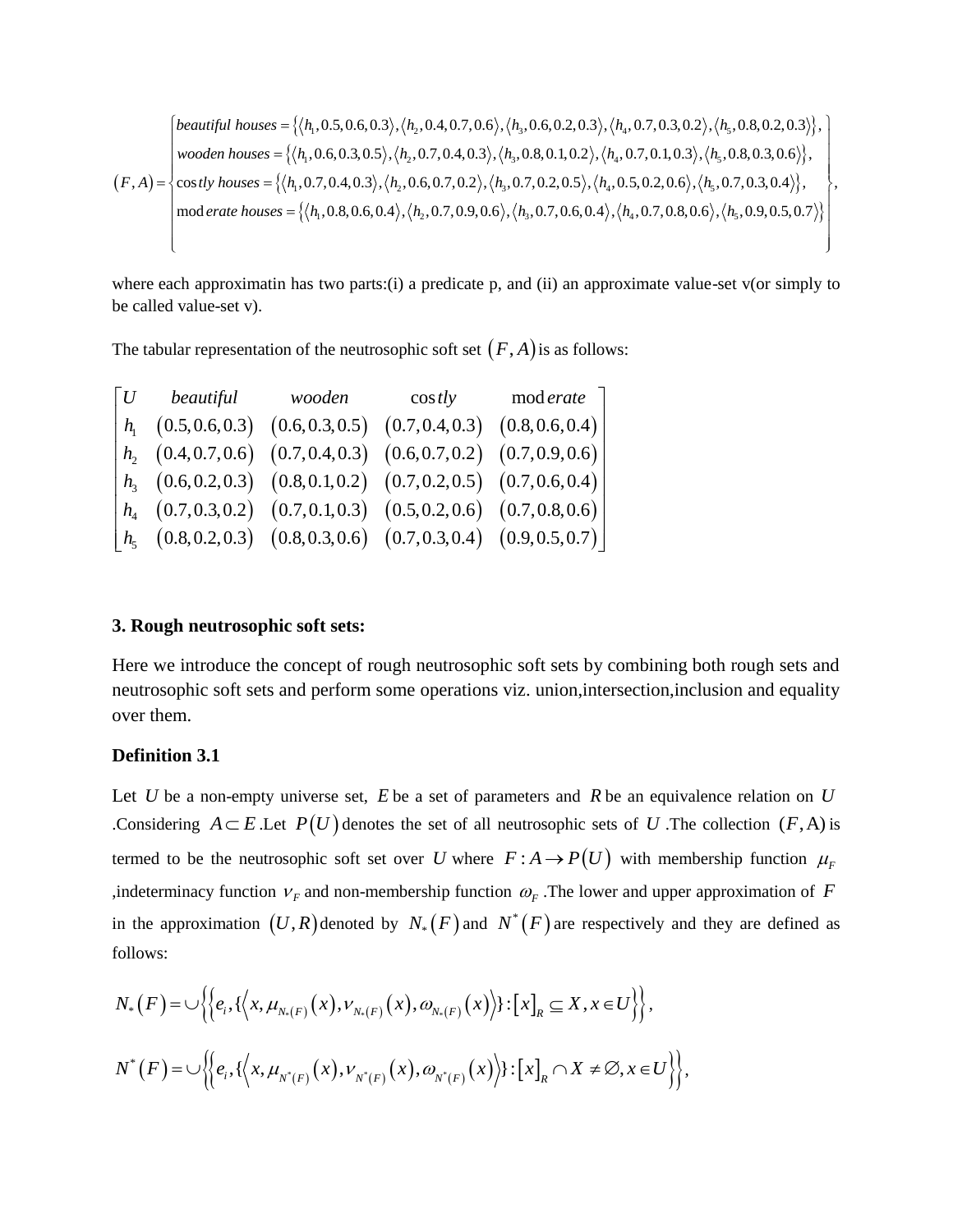$$
(F,A) = \begin{cases} \text{beautiful houses} = \{ \langle h_1, 0.5, 0.6, 0.3 \rangle, \langle h_2, 0.4, 0.7, 0.6 \rangle, \langle h_3, 0.6, 0.2, 0.3 \rangle, \langle h_4, 0.7, 0.3, 0.2 \rangle, \langle h_5, 0.8, 0.2, 0.3 \rangle \}, \\ \text{wooden houses} = \{ \langle h_1, 0.6, 0.3, 0.5 \rangle, \langle h_2, 0.7, 0.4, 0.3 \rangle, \langle h_3, 0.8, 0.1, 0.2 \rangle, \langle h_4, 0.7, 0.1, 0.3 \rangle, \langle h_5, 0.8, 0.3, 0.6 \rangle \}, \\ \text{(F,A)} = \begin{cases} \text{cos tly houses} = \{ \langle h_1, 0.7, 0.4, 0.3 \rangle, \langle h_2, 0.7, 0.4, 0.3 \rangle, \langle h_3, 0.7, 0.2, 0.5 \rangle, \langle h_4, 0.7, 0.1, 0.3 \rangle, \langle h_5, 0.7, 0.3, 0.4 \rangle \}, \\ \text{mod erate houses} = \{ \langle h_1, 0.8, 0.6, 0.4 \rangle, \langle h_2, 0.7, 0.9, 0.6 \rangle, \langle h_3, 0.7, 0.6, 0.4 \rangle, \langle h_4, 0.7, 0.8, 0.6 \rangle, \langle h_5, 0.9, 0.5, 0.7 \rangle \} \end{cases} \right\}, \text{mod erate houses} = \{ \langle h_1, 0.8, 0.6, 0.4 \rangle, \langle h_2, 0.7, 0.9, 0.6 \rangle, \langle h_3, 0.7, 0.6, 0.4 \rangle, \langle h_4, 0.7, 0.8, 0.6 \rangle, \langle h_5, 0.9, 0.5, 0.7 \rangle \} \rangle \end{cases}
$$

where each approximatin has two parts:(i) a predicate p, and (ii) an approximate value-set v(or simply to be called value-set v).

|          | The tabular representation of the neutrosophic soft set $(F, A)$ is as follows:                               |        |                |           |
|----------|---------------------------------------------------------------------------------------------------------------|--------|----------------|-----------|
| $\mid U$ | beautiful                                                                                                     | wooden | $\cos t \, dy$ | mod erate |
|          | $h_1$ $(0.5, 0.6, 0.3)$ $(0.6, 0.3, 0.5)$ $(0.7, 0.4, 0.3)$ $(0.8, 0.6, 0.4)$                                 |        |                |           |
|          | $h$ , (0.4, 0.7, 0.6) (0.7, 0.4, 0.3) (0.6, 0.7, 0.2) (0.7, 0.9, 0.6)                                         |        |                |           |
|          | $h_3$ (0.6, 0.2, 0.3) (0.8, 0.1, 0.2) (0.7, 0.2, 0.5) (0.7, 0.6, 0.4)                                         |        |                |           |
|          | $h_4$ (0.7, 0.3, 0.2) (0.7, 0.1, 0.3) (0.5, 0.2, 0.6) (0.7, 0.8, 0.6)                                         |        |                |           |
|          | $\begin{bmatrix} h_{5} & (0.8, 0.2, 0.3) & (0.8, 0.3, 0.6) & (0.7, 0.3, 0.4) & (0.9, 0.5, 0.7) \end{bmatrix}$ |        |                |           |
|          |                                                                                                               |        |                |           |

#### **3. Rough neutrosophic soft sets:**

Here we introduce the concept of rough neutrosophic soft sets by combining both rough sets and neutrosophic soft sets and perform some operations viz. union,intersection,inclusion and equality over them.

#### **Definition 3.1**

Let U be a non-empty universe set,  $E$  be a set of parameters and  $R$  be an equivalence relation on  $U$ Considering  $A \subseteq E$ . Let  $P(U)$  denotes the set of all neutrosophic sets of U. The collection  $(F, A)$  is termed to be the neutrosophic soft set over U where  $F : A \rightarrow P(U)$  with membership function  $\mu_F^F$ , indeterminacy function  $V_F$  and non-membership function  $\omega_F$ . The lower and upper approximation of F in the approximation  $(U, R)$  denoted by  $N_*(F)$  and  $N^*(F)$  are respectively and they are defined as follows:

follows:  
\n
$$
N_{*}(F) = \bigcup \Big\{ \Big\{ e_{i}, \{ \Big\langle x, \mu_{N_{*}(F)}(x), \nu_{N_{*}(F)}(x), \omega_{N_{*}(F)}(x) \Big\rangle \} : [x]_{R} \subseteq X, x \in U \Big\} \Big\},
$$
\n
$$
N^{*}(F) = \bigcup \Big\{ \Big\{ e_{i}, \{ \Big\langle x, \mu_{N^{*}(F)}(x), \nu_{N^{*}(F)}(x), \omega_{N^{*}(F)}(x) \Big\rangle \} : [x]_{R} \cap X \neq \emptyset, x \in U \Big\} \Big\},
$$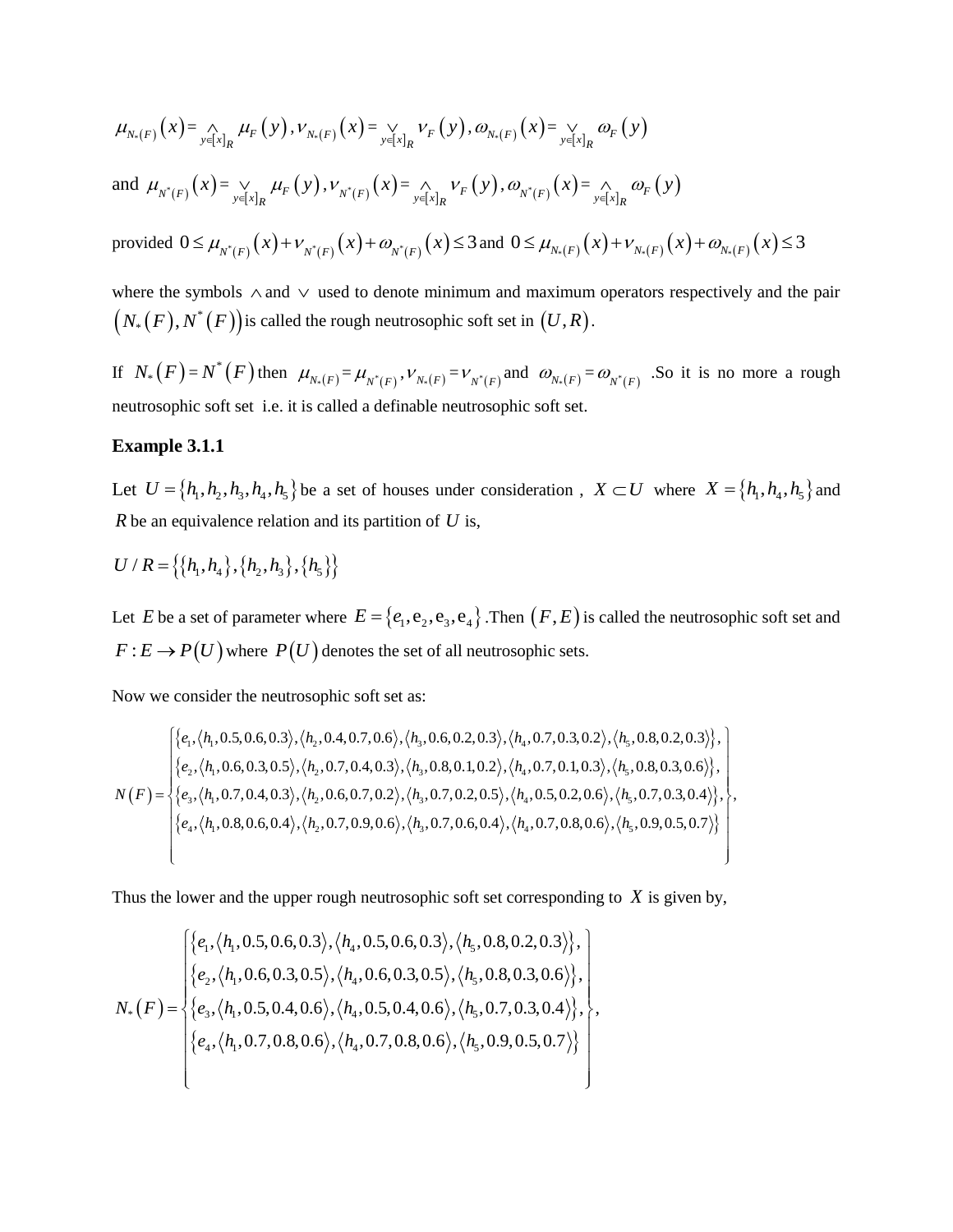$$
\mu_{N_*(F)}(x) = \bigwedge_{y \in [x]_R} \mu_F(y), \nu_{N_*(F)}(x) = \bigvee_{y \in [x]_R} \nu_F(y), \omega_{N_*(F)}(x) = \bigvee_{y \in [x]_R} \omega_F(y)
$$

and  $\mu_{N^*(F)}(x) = \bigvee_{y \in [x]_R} \mu_F(y)$  $\bigvee_{x \in [x]_R} \mu_F(y), \nu_{N^*(F)}(x) = \bigwedge_{y \in [x]_R} \nu_F(y)$  $\bigcap_{x \in [x]_R} V_F(y), \omega_{N^*(F)}(x) = \bigcap_{y \in [x]_R} \omega_F(y)$  $\bigwedge_{y\in [x]_p} \omega_F(y)$ 

provided  $0 \le \mu_{N^*(F)}(x) + \nu_{N^*(F)}(x) + \omega_{N^*(F)}(x) \le 3$  and  $0 \le \mu_{N^*(F)}(x) + \nu_{N^*(F)}(x) + \omega_{N^*(F)}(x) \le 3$ 

where the symbols  $\land$  and  $\lor$  used to denote minimum and maximum operators respectively and the pair  $\big(N_\ast\big(F\big),N^\ast\big(F\big)\big)$ is called the rough neutrosophic soft set in  $\big(U,R\big).$ 

If  $N_*(F) = N^*(F)$  then  $\mu_{N_*(F)} = \mu_{N^*(F)}, \nu_{N_*(F)} = \nu_{N^*(F)}$  and  $\omega_{N_*(F)} = \omega_{N^*(F)}$ . So it is no more a rough neutrosophic soft set i.e. it is called a definable neutrosophic soft set.

#### **Example 3.1.1**

Let  $U = \{h_1, h_2, h_3, h_4, h_5\}$  be a set of houses under consideration,  $X \subset U$  where  $X = \{h_1, h_4, h_5\}$  and *R* be an equivalence relation and its partition of *U* is,

$$
U/R = \left\{ \left\{ h_1, h_4 \right\}, \left\{ h_2, h_3 \right\}, \left\{ h_5 \right\} \right\}
$$

Let E be a set of parameter where  $E = \{e_1, e_2, e_3, e_4\}$ . Then  $(F, E)$  is called the neutrosophic soft set and  $F: E \to P(U)$  where  $P(U)$  denotes the set of all neutrosophic sets.

Now we consider the neutrosophic soft set as:

Now we consider the neutrosophic soft set as:  
\nNow we consider the neutrosophic soft set as:  
\n
$$
\begin{cases}\n\{e_1, \langle h_1, 0.5, 0.6, 0.3 \rangle, \langle h_2, 0.4, 0.7, 0.6 \rangle, \langle h_3, 0.6, 0.2, 0.3 \rangle, \langle h_4, 0.7, 0.3, 0.2 \rangle, \langle h_5, 0.8, 0.2, 0.3 \rangle\}, \\
\{e_2, \langle h_1, 0.6, 0.3, 0.5 \rangle, \langle h_2, 0.7, 0.4, 0.3 \rangle, \langle h_3, 0.8, 0.1, 0.2 \rangle, \langle h_4, 0.7, 0.1, 0.3 \rangle, \langle h_5, 0.8, 0.3, 0.6 \rangle\}, \\
N(F) = \begin{cases}\n\{e_3, \langle h_1, 0.7, 0.4, 0.3 \rangle, \langle h_2, 0.7, 0.4, 0.3 \rangle, \langle h_3, 0.7, 0.2, 0.5 \rangle, \langle h_4, 0.7, 0.1, 0.3 \rangle, \langle h_5, 0.7, 0.3, 0.4 \rangle\}, \\
\{e_4, \langle h_1, 0.8, 0.6, 0.4 \rangle, \langle h_2, 0.7, 0.9, 0.6 \rangle, \langle h_3, 0.7, 0.6, 0.4 \rangle, \langle h_4, 0.7, 0.8, 0.6 \rangle, \langle h_5, 0.9, 0.5, 0.7 \rangle\}\n\end{cases}
$$

Thus the lower and the upper rough neutrosophic soft set corresponding to *X* is given by,  
\n
$$
\begin{cases}\n\{e_1, \langle h_1, 0.5, 0.6, 0.3 \rangle, \langle h_4, 0.5, 0.6, 0.3 \rangle, \langle h_5, 0.8, 0.2, 0.3 \rangle\}, \\
\{e_2, \langle h_1, 0.6, 0.3, 0.5 \rangle, \langle h_4, 0.6, 0.3, 0.5 \rangle, \langle h_5, 0.8, 0.3, 0.6 \rangle\}, \\
N_*(F) = \begin{cases}\n\{e_3, \langle h_1, 0.5, 0.4, 0.6 \rangle, \langle h_4, 0.5, 0.4, 0.6 \rangle, \langle h_5, 0.7, 0.3, 0.4 \rangle\}, \\
\{e_4, \langle h_1, 0.7, 0.8, 0.6 \rangle, \langle h_4, 0.7, 0.8, 0.6 \rangle, \langle h_5, 0.9, 0.5, 0.7 \rangle\}\n\end{cases}
$$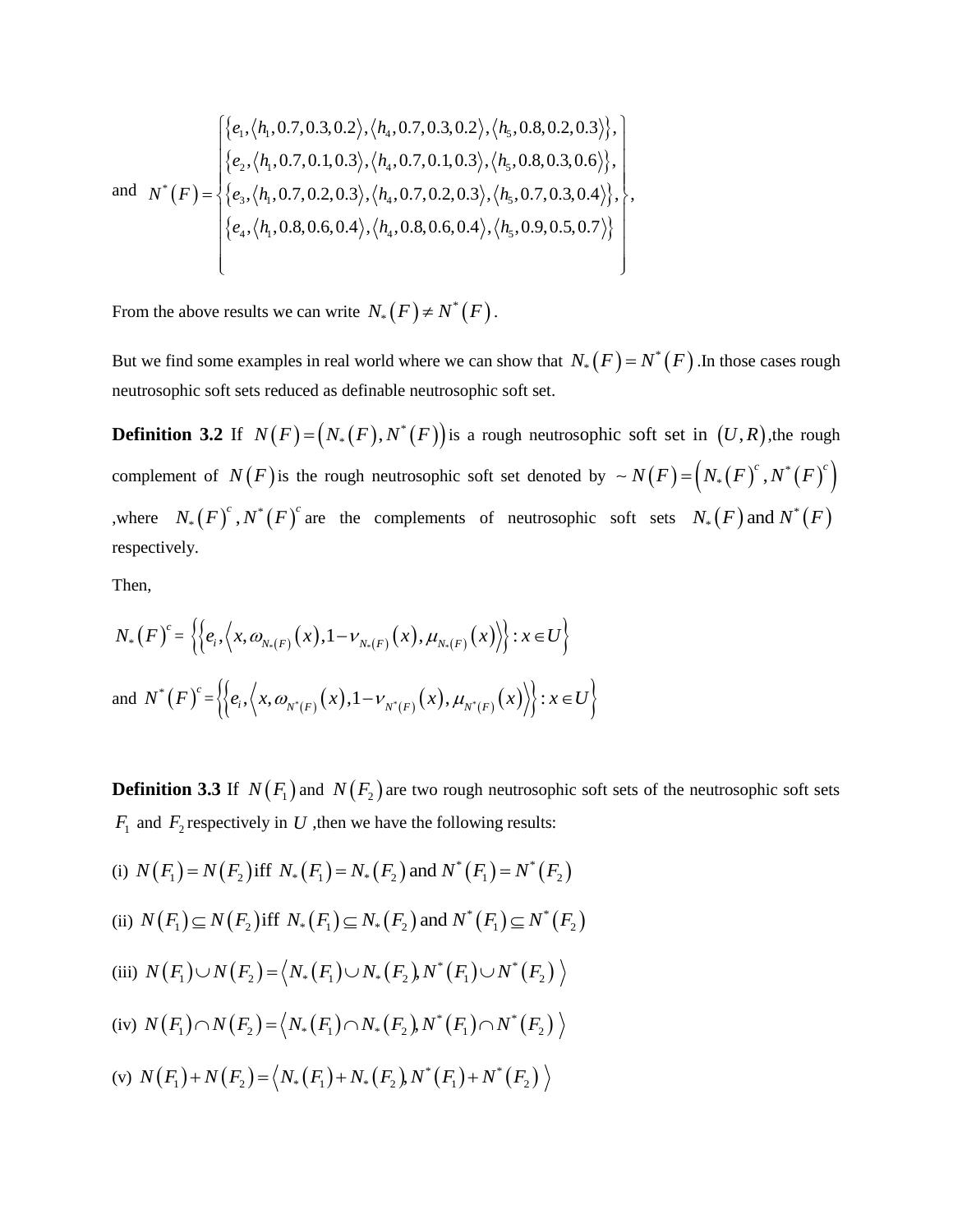and 
$$
N^*(F) = \begin{cases} \{e_1, \langle h_1, 0.7, 0.3, 0.2 \rangle, \langle h_4, 0.7, 0.3, 0.2 \rangle, \langle h_5, 0.8, 0.2, 0.3 \rangle\}, \\ \{e_2, \langle h_1, 0.7, 0.1, 0.3 \rangle, \langle h_4, 0.7, 0.1, 0.3 \rangle, \langle h_5, 0.8, 0.3, 0.6 \rangle\}, \\ \{e_3, \langle h_1, 0.7, 0.2, 0.3 \rangle, \langle h_4, 0.7, 0.2, 0.3 \rangle, \langle h_5, 0.7, 0.3, 0.4 \rangle\}, \\ \{e_4, \langle h_1, 0.8, 0.6, 0.4 \rangle, \langle h_4, 0.8, 0.6, 0.4 \rangle, \langle h_5, 0.9, 0.5, 0.7 \rangle\} \end{cases}
$$

From the above results we can write  $N_*(F) \neq N^*(F)$ .

But we find some examples in real world where we can show that  $N_*(F) = N^*(F)$ . In those cases rough neutrosophic soft sets reduced as definable neutrosophic soft set.

**Definition 3.2** If  $N(F) = (N_*(F), N^*(F))$  is a rough neutrosophic soft set in  $(U, R)$ , the rough complement of  $N(F)$  is the rough neutrosophic soft set denoted by  $\sim N(F) = (N_*(F)^c, N^*(F)^c)$  $\sim N(F) = (N_* (F)^c, N^*(F)^c)$ , where  $N_*(F)^c$ ,  $N^*(F)^c$  $N_* (F)^c$ ,  $N^* (F)^c$  are the complements of neutrosophic soft sets  $N_* (F)$  and  $N^* (F)$ respectively.

Then,

Then,  
\n
$$
N_{*}(F)^{c} = \left\{ \left\{ e_{i}, \left\langle x, \omega_{N_{*}(F)}(x), 1 - \nu_{N_{*}(F)}(x), \mu_{N_{*}(F)}(x) \right\rangle \right\} : x \in U \right\}
$$
\nand 
$$
N^{*}(F)^{c} = \left\{ \left\{ e_{i}, \left\langle x, \omega_{N^{*}(F)}(x), 1 - \nu_{N^{*}(F)}(x), \mu_{N^{*}(F)}(x) \right\rangle \right\} : x \in U \right\}
$$

**Definition 3.3** If  $N(F_1)$  and  $N(F_2)$  are two rough neutrosophic soft sets of the neutrosophic soft sets

$$
F_1 \text{ and } F_2 \text{ respectively in } U \text{ , then we have the following results:}
$$
\n(i)  $N(F_1) = N(F_2)$  iff  $N_*(F_1) = N_*(F_2)$  and  $N^*(F_1) = N^*(F_2)$ \n  
\n(ii)  $N(F_1) \subseteq N(F_2)$  iff  $N_*(F_1) \subseteq N_*(F_2)$  and  $N^*(F_1) \subseteq N^*(F_2)$ \n  
\n(iii)  $N(F_1) \cup N(F_2) = \langle N_*(F_1) \cup N_*(F_2), N^*(F_1) \cup N^*(F_2) \rangle$ \n  
\n(iv)  $N(F_1) \cap N(F_2) = \langle N_*(F_1) \cap N_*(F_2), N^*(F_1) \cap N^*(F_2) \rangle$ \n  
\n(v)  $N(F_1) + N(F_2) = \langle N_*(F_1) + N_*(F_2), N^*(F_1) + N^*(F_2) \rangle$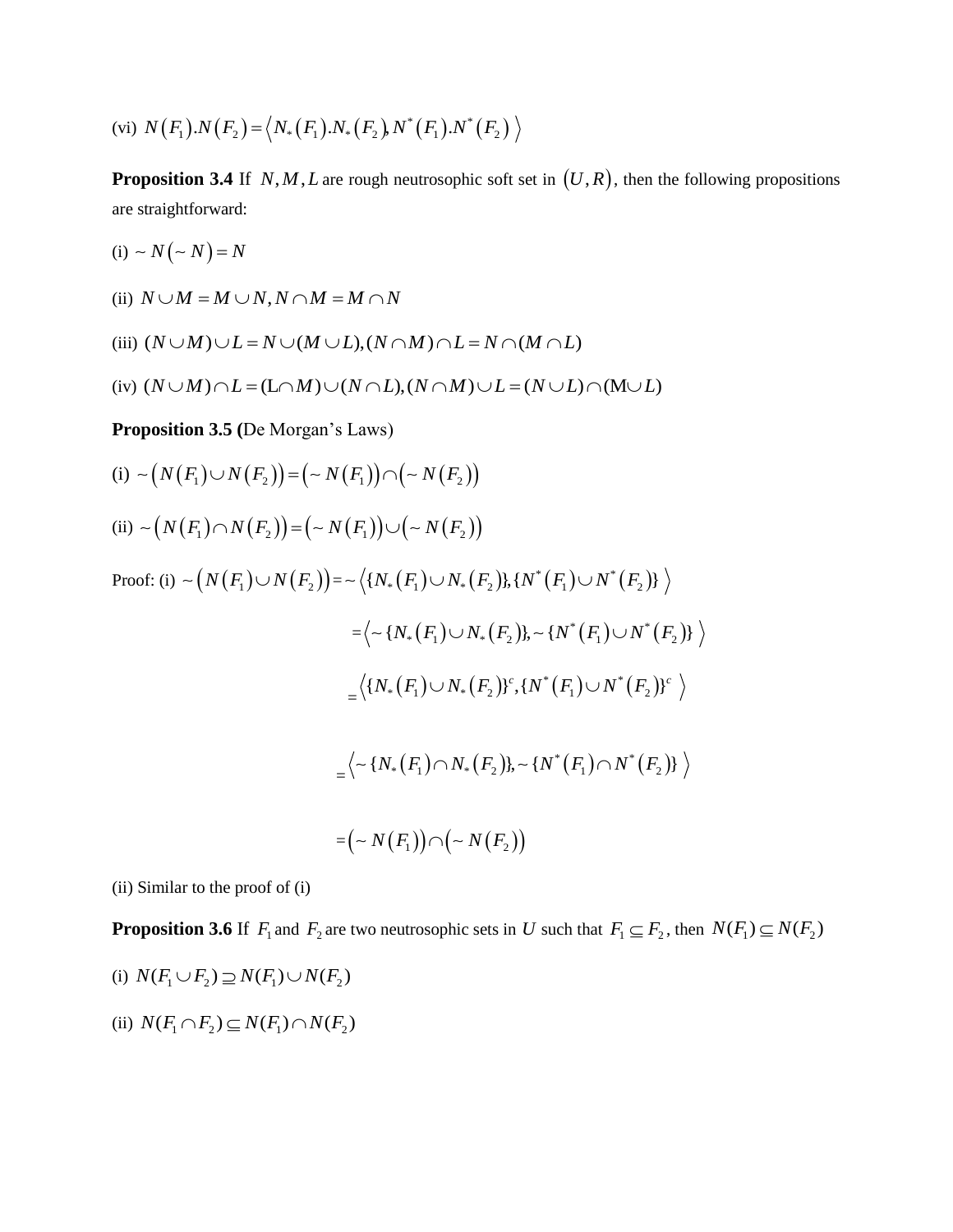(vi) 
$$
N(F_1) \cdot N(F_2) = \langle N_*(F_1) \cdot N_*(F_2) N^*(F_1) \cdot N^*(F_2) \rangle
$$

**Proposition 3.4** If  $N, M, L$  are rough neutrosophic soft set in  $(U, R)$ , then the following propositions are straightforward:

- $(i) \sim N(-N) = N$
- (ii)  $N \cup M = M \cup N, N \cap M = M \cap N$

(ii) 
$$
N \cup M = M \cup N, N \cap M = M \cap N
$$
  
(iii)  $(N \cup M) \cup L = N \cup (M \cup L), (N \cap M) \cap L = N \cap (M \cap L)$ 

(iii) 
$$
(N \cup M) \cup L = N \cup (M \cup L), (N \cap M) \cap L = N \cap (M \cap L)
$$
  
(iv)  $(N \cup M) \cap L = (L \cap M) \cup (N \cap L), (N \cap M) \cup L = (N \cup L) \cap (M \cup L)$ 

**Proposition 3.5 (**De Morgan's Laws)

(i) 
$$
\sim (N(F_1) \cup N(F_2)) = (\sim N(F_1)) \cap (\sim N(F_2))
$$
  
\n(ii)  $\sim (N(F_1) \cap N(F_2)) = (\sim N(F_1)) \cup (\sim N(F_2))$   
\nProof: (i)  $\sim (N(F_1) \cup N(F_2)) = \sim \langle \{N_*(F_1) \cup N_*(F_2)\}, \{N^*(F_1) \cup N^*(F_2)\} \rangle$   
\n $= \langle \sim \{N_*(F_1) \cup N_*(F_2)\}, \sim \{N^*(F_1) \cup N^*(F_2)\} \rangle$   
\n $= \langle \{N_*(F_1) \cup N_*(F_2)\}^c, \{N^*(F_1) \cup N^*(F_2)\}^c \rangle$   
\n $= \langle \sim \{N_*(F_1) \cap N_*(F_2)\}, \sim \{N^*(F_1) \cap N^*(F_2)\} \rangle$   
\n $= (\sim N(F_1)) \cap (\sim N(F_2))$ 

(ii) Similar to the proof of (i)

**Proposition 3.6** If  $F_1$  and  $F_2$  are two neutrosophic sets in U such that  $F_1 \subseteq F_2$ , then  $N(F_1) \subseteq N(F_2)$ 

(i) 
$$
N(F_1 \cup F_2) \supseteq N(F_1) \cup N(F_2)
$$

(ii)  $N(F_1 \cap F_2) \subseteq N(F_1) \cap N(F_2)$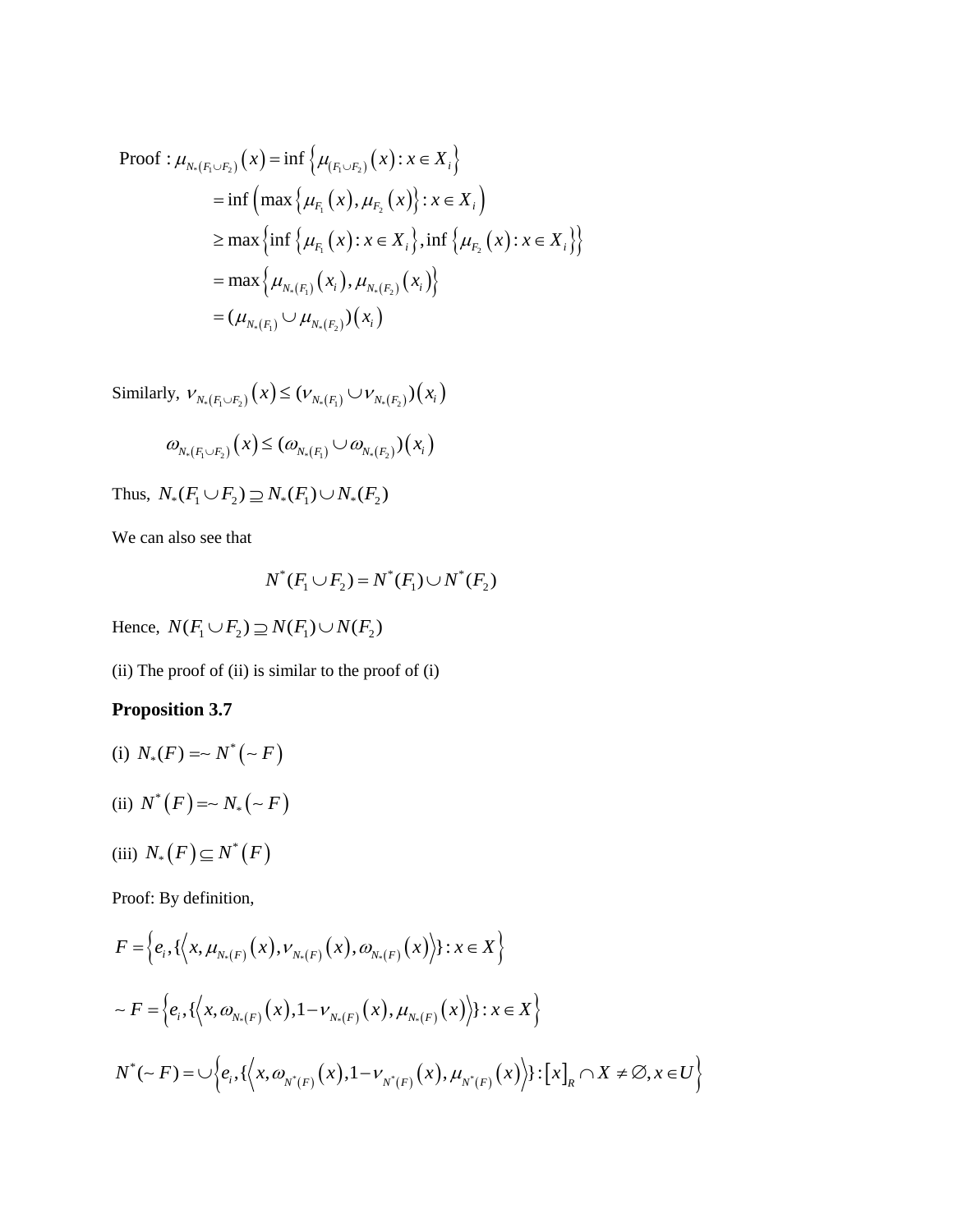Proof : 
$$
\mu_{N_*(F_1 \cup F_2)}(x) = \inf \{ \mu_{(F_1 \cup F_2)}(x) : x \in X_i \}
$$
  
\n
$$
= \inf \left( \max \{ \mu_{F_1}(x), \mu_{F_2}(x) \} : x \in X_i \right)
$$
\n
$$
\ge \max \left\{ \inf \{ \mu_{F_1}(x) : x \in X_i \} , \inf \{ \mu_{F_2}(x) : x \in X_i \} \right\}
$$
\n
$$
= \max \left\{ \mu_{N_*(F_1)}(x_i), \mu_{N_*(F_2)}(x_i) \right\}
$$
\n
$$
= (\mu_{N_*(F_1)} \cup \mu_{N_*(F_2)}) (x_i)
$$

Similarly,  $V_{N_*(F_1 \cup F_2)}(x) \leq (V_{N_*(F_1)} \cup V_{N_*(F_2)})(x_i)$ 

$$
\omega_{\scriptscriptstyle N_\ast(F_1\cup F_2)}\big(x\big)\leq (\omega_{\scriptscriptstyle N_\ast(F_1)}\cup \omega_{\scriptscriptstyle N_\ast(F_2)})(x_i)
$$

Thus,  $N_*(F_1 \cup F_2) \supseteq N_*(F_1) \cup N_*(F_2)$ 

We can also see that

$$
N^*(F_1 \cup F_2) = N^*(F_1) \cup N^*(F_2)
$$

Hence,  $N(F_1 \cup F_2) \supseteq N(F_1) \cup N(F_2)$ 

(ii) The proof of (ii) is similar to the proof of (i)

# **Proposition 3.7**

- (i)  $N_*(F) = \sim N^* (-F)$
- (ii)  $N^*(F) = N^* (-F)$

$$
(iii) N_*(F) \subseteq N^*(F)
$$

Proof: By definition,

Proof: By definition,  
\n
$$
F = \left\{ e_i, \left\{ \left\langle x, \mu_{N_*(F)}(x), \nu_{N_*(F)}(x), \omega_{N_*(F)}(x) \right\rangle \right\} : x \in X \right\}
$$
\n
$$
\sim F = \left\{ e_i, \left\{ \left\langle x, \omega_{N_*(F)}(x), 1 - \nu_{N_*(F)}(x), \mu_{N_*(F)}(x) \right\rangle \right\} : x \in X \right\}
$$
\n
$$
N^*(\sim F) = \cup \left\{ e_i, \left\{ \left\langle x, \omega_{N^*(F)}(x), 1 - \nu_{N^*(F)}(x), \mu_{N^*(F)}(x) \right\rangle \right\} : [x]_R \cap X \neq \emptyset, x \in U \right\}
$$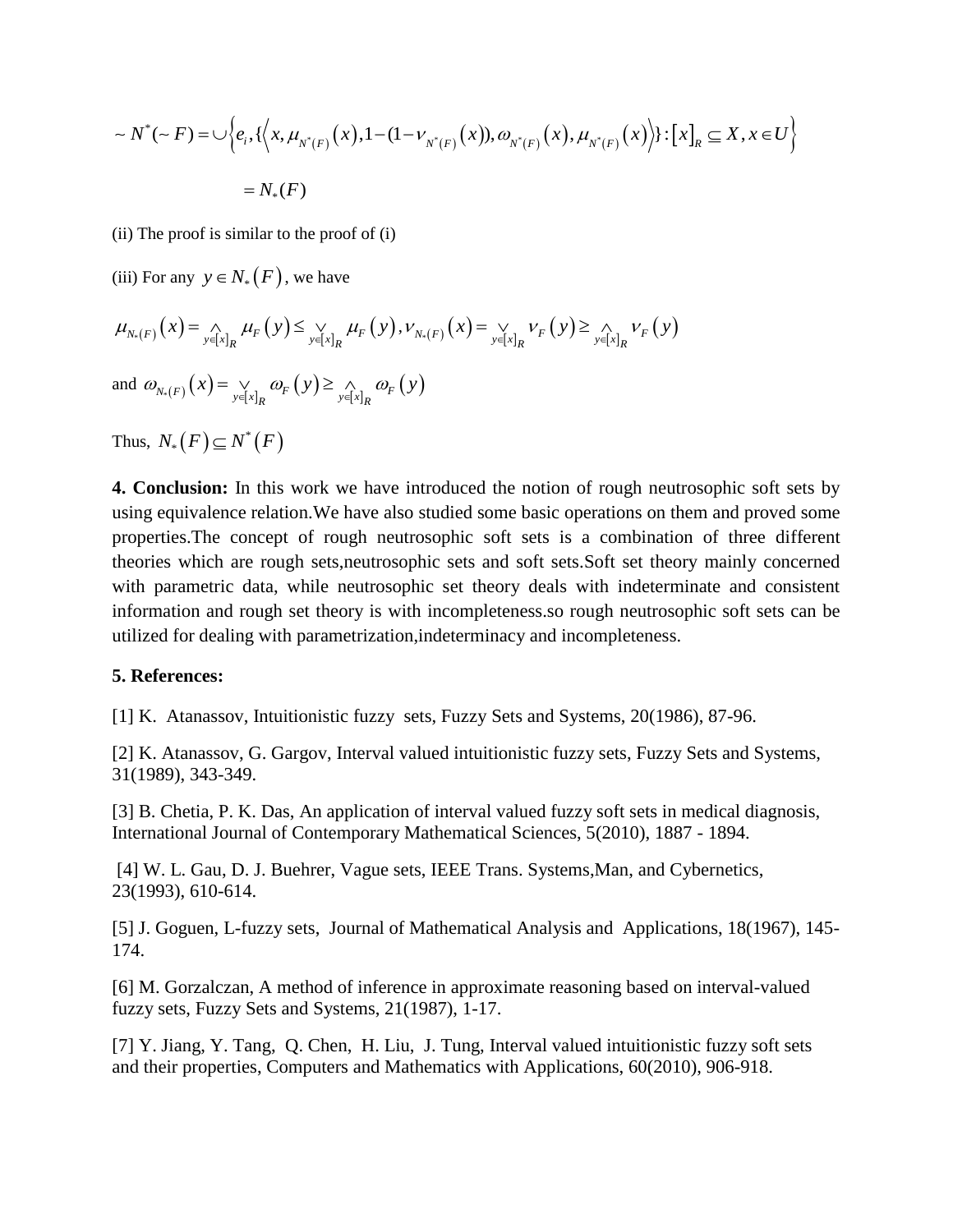$$
\sim N^*(-F) = \bigcup \Biggl\{ e_i, \{ \Bigl\langle x, \mu_{N^*(F)}(x), 1 - (1 - \nu_{N^*(F)}(x)), \omega_{N^*(F)}(x), \mu_{N^*(F)}(x) \Bigr\rangle \} : [x]_R \subseteq X, x \in U \Biggr\}
$$
  
=  $N_*(F)$ 

(ii) The proof is similar to the proof of (i)

(iii) For any  $y \in N_*(F)$ , we have

$$
\mu_{N_{*}(F)}(x) = \lim_{y \in [x]_{R}} \mu_{F}(y) \leq \lim_{y \in [x]_{R}} \mu_{F}(y), \nu_{N_{*}(F)}(x) = \lim_{y \in [x]_{R}} \nu_{F}(y) \geq \lim_{y \in [x]_{R}} \nu_{F}(y)
$$

and  $\omega_{N_*(F)}(x) = \bigvee_{y \in [x]_R} \omega_F(y) \ge \bigwedge_{y \in [x]_R} \omega_F(y)$  $\omega_{N_*(F)}(x) = \bigvee_{y \in [x]_R} \omega_F(y) \ge \bigwedge_{y \in [x]_R} \omega_F(y)$ 

Thus,  $N_*(F) \subseteq N^*(F)$ 

**4. Conclusion:** In this work we have introduced the notion of rough neutrosophic soft sets by using equivalence relation.We have also studied some basic operations on them and proved some properties.The concept of rough neutrosophic soft sets is a combination of three different theories which are rough sets,neutrosophic sets and soft sets.Soft set theory mainly concerned with parametric data, while neutrosophic set theory deals with indeterminate and consistent information and rough set theory is with incompleteness.so rough neutrosophic soft sets can be utilized for dealing with parametrization,indeterminacy and incompleteness.

#### **5. References:**

[1] K. Atanassov, Intuitionistic fuzzy sets, Fuzzy Sets and Systems, 20(1986), 87-96.

[2] K. Atanassov, G. Gargov, Interval valued intuitionistic fuzzy sets, Fuzzy Sets and Systems, 31(1989), 343-349.

[3] B. Chetia, P. K. Das, An application of interval valued fuzzy soft sets in medical diagnosis, International Journal of Contemporary Mathematical Sciences, 5(2010), 1887 - 1894.

[4] W. L. Gau, D. J. Buehrer, Vague sets, IEEE Trans. Systems,Man, and Cybernetics, 23(1993), 610-614.

[5] J. Goguen, L-fuzzy sets, Journal of Mathematical Analysis and Applications, 18(1967), 145- 174.

[6] M. Gorzalczan, A method of inference in approximate reasoning based on interval-valued fuzzy sets, Fuzzy Sets and Systems, 21(1987), 1-17.

[7] Y. Jiang, Y. Tang, Q. Chen, H. Liu, J. Tung, Interval valued intuitionistic fuzzy soft sets and their properties, Computers and Mathematics with Applications, 60(2010), 906-918.